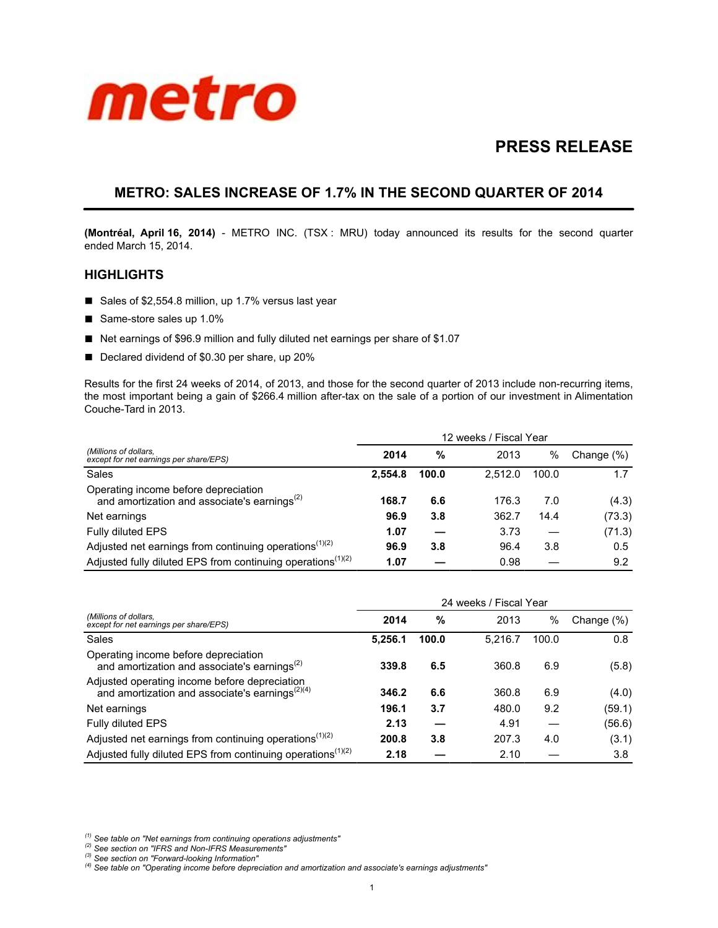

# **PRESS RELEASE**

## **METRO: SALES INCREASE OF 1.7% IN THE SECOND QUARTER OF 2014**

**(Montréal, April 16, 2014)** - METRO INC. (TSX : MRU) today announced its results for the second quarter ended March 15, 2014.

## **HIGHLIGHTS**

- Sales of \$2,554.8 million, up 1.7% versus last year
- Same-store sales up 1.0%
- Net earnings of \$96.9 million and fully diluted net earnings per share of \$1.07
- Declared dividend of \$0.30 per share, up 20%

Results for the first 24 weeks of 2014, of 2013, and those for the second quarter of 2013 include non-recurring items, the most important being a gain of \$266.4 million after-tax on the sale of a portion of our investment in Alimentation Couche-Tard in 2013.

|                                                                                            | 12 weeks / Fiscal Year |       |         |       |               |
|--------------------------------------------------------------------------------------------|------------------------|-------|---------|-------|---------------|
| (Millions of dollars,<br>except for net earnings per share/EPS)                            | 2014                   | %     | 2013    | $\%$  | Change $(\%)$ |
| Sales                                                                                      | 2.554.8                | 100.0 | 2.512.0 | 100.0 | 1.7           |
| Operating income before depreciation<br>and amortization and associate's earnings $^{(2)}$ | 168.7                  | 6.6   | 176.3   | 7.0   | (4.3)         |
| Net earnings                                                                               | 96.9                   | 3.8   | 362.7   | 14.4  | (73.3)        |
| Fully diluted EPS                                                                          | 1.07                   |       | 3.73    |       | (71.3)        |
| Adjusted net earnings from continuing operations <sup><math>(1)(2)</math></sup>            | 96.9                   | 3.8   | 96.4    | 3.8   | 0.5           |
| Adjusted fully diluted EPS from continuing operations <sup>(1)(2)</sup>                    | 1.07                   |       | 0.98    |       | 9.2           |

|                                                                                                        | 24 weeks / Fiscal Year |       |         |       |               |
|--------------------------------------------------------------------------------------------------------|------------------------|-------|---------|-------|---------------|
| (Millions of dollars,<br>except for net earnings per share/EPS)                                        | 2014                   | %     | 2013    | %     | Change $(\%)$ |
| Sales                                                                                                  | 5,256.1                | 100.0 | 5.216.7 | 100.0 | 0.8           |
| Operating income before depreciation<br>and amortization and associate's earnings <sup>(2)</sup>       | 339.8                  | 6.5   | 360.8   | 6.9   | (5.8)         |
| Adjusted operating income before depreciation<br>and amortization and associate's earnings $^{(2)(4)}$ | 346.2                  | 6.6   | 360.8   | 6.9   | (4.0)         |
| Net earnings                                                                                           | 196.1                  | 3.7   | 480.0   | 9.2   | (59.1)        |
| <b>Fully diluted EPS</b>                                                                               | 2.13                   |       | 4.91    |       | (56.6)        |
| Adjusted net earnings from continuing operations <sup><math>(1)(2)</math></sup>                        | 200.8                  | 3.8   | 207.3   | 4.0   | (3.1)         |
| Adjusted fully diluted EPS from continuing operations <sup>(1)(2)</sup>                                | 2.18                   |       | 2.10    |       | 3.8           |

*(1) See table on "Net earnings from continuing operations adjustments"*

*(2) See section on "IFRS and Non-IFRS Measurements"*

*(3) See section on "Forward-looking Information"*

*(4) See table on "Operating income before depreciation and amortization and associate's earnings adjustments"*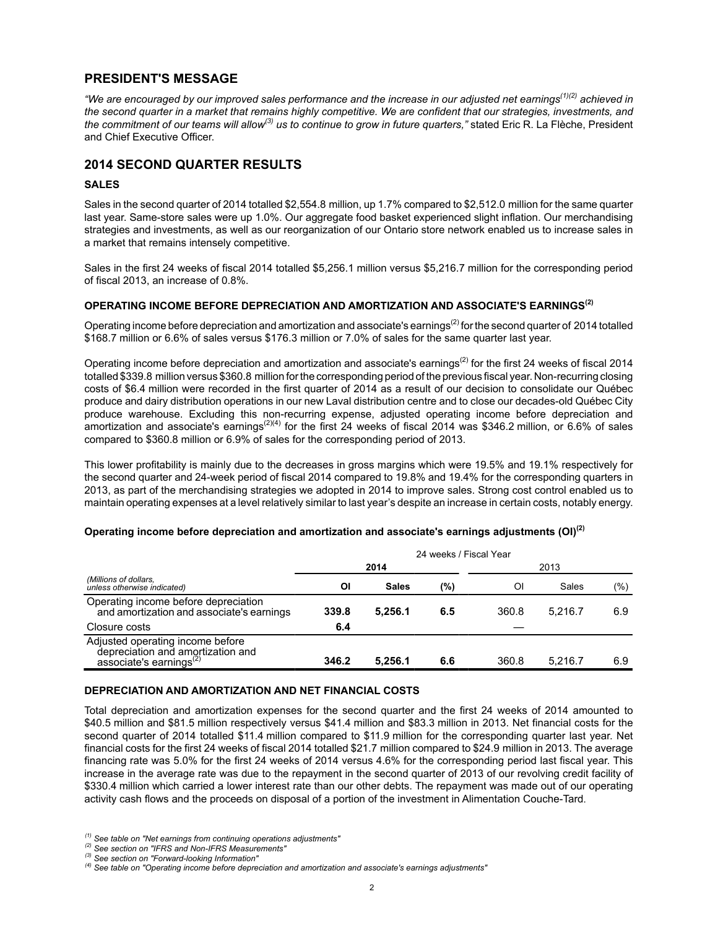## **PRESIDENT'S MESSAGE**

*"We are encouraged by our improved sales performance and the increase in our adjusted net earnings(1)(2) achieved in the second quarter in a market that remains highly competitive. We are confident that our strategies, investments, and the commitment of our teams will allow(3) us to continue to grow in future quarters,"* stated Eric R. La Flèche, President and Chief Executive Officer.

## **2014 SECOND QUARTER RESULTS**

#### **SALES**

Sales in the second quarter of 2014 totalled \$2,554.8 million, up 1.7% compared to \$2,512.0 million for the same quarter last year. Same-store sales were up 1.0%. Our aggregate food basket experienced slight inflation. Our merchandising strategies and investments, as well as our reorganization of our Ontario store network enabled us to increase sales in a market that remains intensely competitive.

Sales in the first 24 weeks of fiscal 2014 totalled \$5,256.1 million versus \$5,216.7 million for the corresponding period of fiscal 2013, an increase of 0.8%.

#### **OPERATING INCOME BEFORE DEPRECIATION AND AMORTIZATION AND ASSOCIATE'S EARNINGS(2)**

Operating income before depreciation and amortization and associate's earnings<sup>(2)</sup> for the second quarter of 2014 totalled \$168.7 million or 6.6% of sales versus \$176.3 million or 7.0% of sales for the same quarter last year.

Operating income before depreciation and amortization and associate's earnings<sup>(2)</sup> for the first 24 weeks of fiscal 2014 totalled \$339.8 million versus \$360.8 million for the corresponding period of the previous fiscal year. Non-recurring closing costs of \$6.4 million were recorded in the first quarter of 2014 as a result of our decision to consolidate our Québec produce and dairy distribution operations in our new Laval distribution centre and to close our decades-old Québec City produce warehouse. Excluding this non-recurring expense, adjusted operating income before depreciation and amortization and associate's earnings<sup>(2)(4)</sup> for the first 24 weeks of fiscal 2014 was \$346.2 million, or 6.6% of sales compared to \$360.8 million or 6.9% of sales for the corresponding period of 2013.

This lower profitability is mainly due to the decreases in gross margins which were 19.5% and 19.1% respectively for the second quarter and 24-week period of fiscal 2014 compared to 19.8% and 19.4% for the corresponding quarters in 2013, as part of the merchandising strategies we adopted in 2014 to improve sales. Strong cost control enabled us to maintain operating expenses at a level relatively similar to last year's despite an increase in certain costs, notably energy.

#### **Operating income before depreciation and amortization and associate's earnings adjustments (OI)(2)**

|                                                                                                              | 24 weeks / Fiscal Year |              |     |       |         |     |
|--------------------------------------------------------------------------------------------------------------|------------------------|--------------|-----|-------|---------|-----|
|                                                                                                              | 2014                   |              |     | 2013  |         |     |
| (Millions of dollars,<br>unless otherwise indicated)                                                         | ΟI                     | <b>Sales</b> | (%) | Οl    | Sales   | (%) |
| Operating income before depreciation<br>and amortization and associate's earnings                            | 339.8                  | 5.256.1      | 6.5 | 360.8 | 5.216.7 | 6.9 |
| Closure costs                                                                                                | 6.4                    |              |     |       |         |     |
| Adjusted operating income before<br>depreciation and amortization and<br>associate's earnings <sup>(2)</sup> | 346.2                  | 5.256.1      | 6.6 | 360.8 | 5.216.7 | 6.9 |

#### **DEPRECIATION AND AMORTIZATION AND NET FINANCIAL COSTS**

Total depreciation and amortization expenses for the second quarter and the first 24 weeks of 2014 amounted to \$40.5 million and \$81.5 million respectively versus \$41.4 million and \$83.3 million in 2013. Net financial costs for the second quarter of 2014 totalled \$11.4 million compared to \$11.9 million for the corresponding quarter last year. Net financial costs for the first 24 weeks of fiscal 2014 totalled \$21.7 million compared to \$24.9 million in 2013. The average financing rate was 5.0% for the first 24 weeks of 2014 versus 4.6% for the corresponding period last fiscal year. This increase in the average rate was due to the repayment in the second quarter of 2013 of our revolving credit facility of \$330.4 million which carried a lower interest rate than our other debts. The repayment was made out of our operating activity cash flows and the proceeds on disposal of a portion of the investment in Alimentation Couche-Tard.

*<sup>(1)</sup> See table on "Net earnings from continuing operations adjustments"*

*<sup>(2)</sup> See section on "IFRS and Non-IFRS Measurements"*

*<sup>(3)</sup> See section on "Forward-looking Information"*

*<sup>(4)</sup> See table on "Operating income before depreciation and amortization and associate's earnings adjustments"*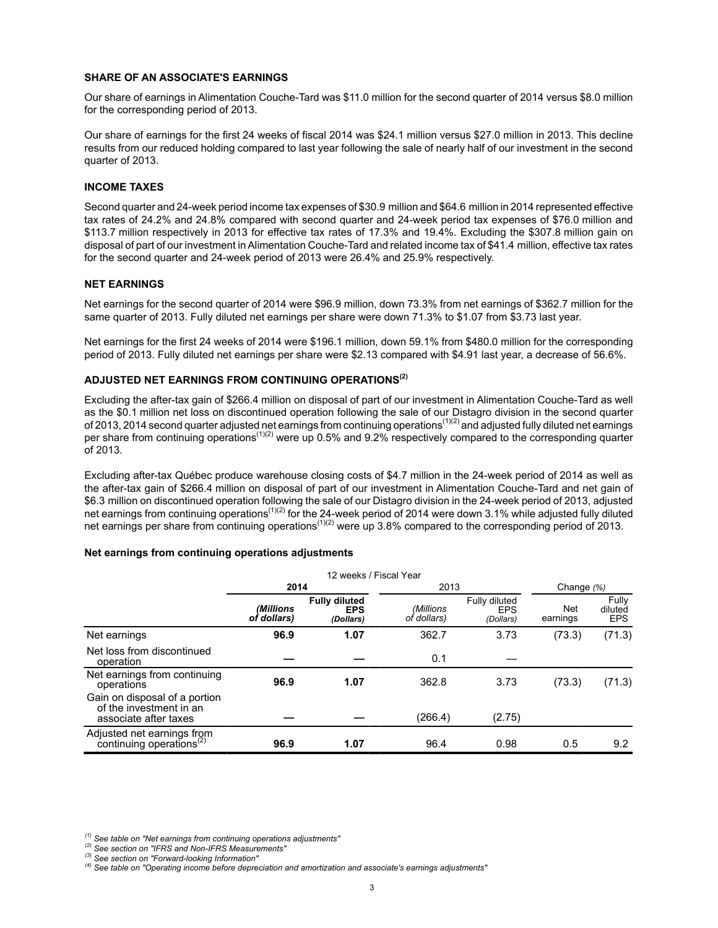#### **SHARE OF AN ASSOCIATE'S EARNINGS**

Our share of earnings in Alimentation Couche-Tard was \$11.0 million for the second quarter of 2014 versus \$8.0 million for the corresponding period of 2013.

Our share of earnings for the first 24 weeks of fiscal 2014 was \$24.1 million versus \$27.0 million in 2013. This decline results from our reduced holding compared to last year following the sale of nearly half of our investment in the second quarter of 2013.

#### **INCOME TAXES**

Second quarter and 24-week period income tax expenses of \$30.9 million and \$64.6 million in 2014 represented effective tax rates of 24.2% and 24.8% compared with second quarter and 24-week period tax expenses of \$76.0 million and \$113.7 million respectively in 2013 for effective tax rates of 17.3% and 19.4%. Excluding the \$307.8 million gain on disposal of part of our investment in Alimentation Couche-Tard and related income tax of \$41.4 million, effective tax rates for the second quarter and 24-week period of 2013 were 26.4% and 25.9% respectively.

#### **NET EARNINGS**

Net earnings for the second quarter of 2014 were \$96.9 million, down 73.3% from net earnings of \$362.7 million for the same quarter of 2013. Fully diluted net earnings per share were down 71.3% to \$1.07 from \$3.73 last year.

Net earnings for the first 24 weeks of 2014 were \$196.1 million, down 59.1% from \$480.0 million for the corresponding period of 2013. Fully diluted net earnings per share were \$2.13 compared with \$4.91 last year, a decrease of 56.6%.

## **ADJUSTED NET EARNINGS FROM CONTINUING OPERATIONS(2)**

Excluding the after-tax gain of \$266.4 million on disposal of part of our investment in Alimentation Couche-Tard as well as the \$0.1 million net loss on discontinued operation following the sale of our Distagro division in the second quarter of 2013, 2014 second quarter adjusted net earnings from continuing operations<sup>(1)(2)</sup> and adjusted fully diluted net earnings per share from continuing operations<sup> $(1)(2)$ </sup> were up 0.5% and 9.2% respectively compared to the corresponding quarter of 2013.

Excluding after-tax Québec produce warehouse closing costs of \$4.7 million in the 24-week period of 2014 as well as the after-tax gain of \$266.4 million on disposal of part of our investment in Alimentation Couche-Tard and net gain of \$6.3 million on discontinued operation following the sale of our Distagro division in the 24-week period of 2013, adjusted net earnings from continuing operations<sup>(1)(2)</sup> for the 24-week period of 2014 were down 3.1% while adjusted fully diluted net earnings per share from continuing operations<sup>(1)(2)</sup> were up 3.8% compared to the corresponding period of 2013.

#### **Net earnings from continuing operations adjustments**

|                                                                                   | 12 weeks / Fiscal Year   |                                                 |                          |                                          |                 |                                |
|-----------------------------------------------------------------------------------|--------------------------|-------------------------------------------------|--------------------------|------------------------------------------|-----------------|--------------------------------|
|                                                                                   | 2014                     |                                                 | 2013                     |                                          | Change (%)      |                                |
|                                                                                   | (Millions<br>of dollars) | <b>Fully diluted</b><br><b>EPS</b><br>(Dollars) | (Millions<br>of dollars) | Fully diluted<br><b>EPS</b><br>(Dollars) | Net<br>earnings | Fully<br>diluted<br><b>EPS</b> |
| Net earnings                                                                      | 96.9                     | 1.07                                            | 362.7                    | 3.73                                     | (73.3)          | (71.3)                         |
| Net loss from discontinued<br>operation                                           |                          |                                                 | 0.1                      |                                          |                 |                                |
| Net earnings from continuing<br>operations                                        | 96.9                     | 1.07                                            | 362.8                    | 3.73                                     | (73.3)          | (71.3)                         |
| Gain on disposal of a portion<br>of the investment in an<br>associate after taxes |                          |                                                 | (266.4)                  | (2.75)                                   |                 |                                |
| Adjusted net earnings from<br>continuing operations <sup>(2)</sup>                | 96.9                     | 1.07                                            | 96.4                     | 0.98                                     | 0.5             | 9.2                            |

*(1) See table on "Net earnings from continuing operations adjustments"*

*(2) See section on "IFRS and Non-IFRS Measurements"*

*(3) See section on "Forward-looking Information"*

*(4) See table on "Operating income before depreciation and amortization and associate's earnings adjustments"*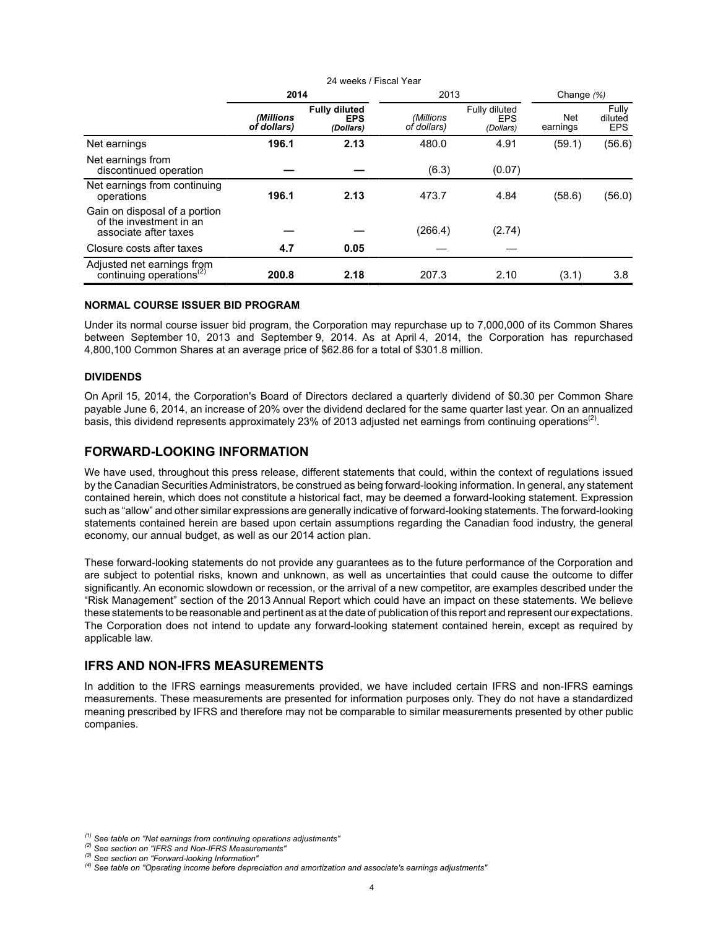|                                                                                   | 2014                     |                                                 | 2013                     |                                          | Change (%)      |                                |
|-----------------------------------------------------------------------------------|--------------------------|-------------------------------------------------|--------------------------|------------------------------------------|-----------------|--------------------------------|
|                                                                                   | (Millions<br>of dollars) | <b>Fully diluted</b><br><b>EPS</b><br>(Dollars) | (Millions<br>of dollars) | Fully diluted<br><b>EPS</b><br>(Dollars) | Net<br>earnings | Fully<br>diluted<br><b>EPS</b> |
| Net earnings                                                                      | 196.1                    | 2.13                                            | 480.0                    | 4.91                                     | (59.1)          | (56.6)                         |
| Net earnings from<br>discontinued operation                                       |                          |                                                 | (6.3)                    | (0.07)                                   |                 |                                |
| Net earnings from continuing<br>operations                                        | 196.1                    | 2.13                                            | 473.7                    | 4.84                                     | (58.6)          | (56.0)                         |
| Gain on disposal of a portion<br>of the investment in an<br>associate after taxes |                          |                                                 | (266.4)                  | (2.74)                                   |                 |                                |
| Closure costs after taxes                                                         | 4.7                      | 0.05                                            |                          |                                          |                 |                                |
| Adjusted net earnings from<br>continuing operations <sup><math>(2)</math></sup>   | 200.8                    | 2.18                                            | 207.3                    | 2.10                                     | (3.1)           | 3.8                            |

24 weeks / Fiscal Year

#### **NORMAL COURSE ISSUER BID PROGRAM**

Under its normal course issuer bid program, the Corporation may repurchase up to 7,000,000 of its Common Shares between September 10, 2013 and September 9, 2014. As at April 4, 2014, the Corporation has repurchased 4,800,100 Common Shares at an average price of \$62.86 for a total of \$301.8 million.

#### **DIVIDENDS**

On April 15, 2014, the Corporation's Board of Directors declared a quarterly dividend of \$0.30 per Common Share payable June 6, 2014, an increase of 20% over the dividend declared for the same quarter last year. On an annualized basis, this dividend represents approximately 23% of 2013 adjusted net earnings from continuing operations<sup>(2)</sup>.

## **FORWARD-LOOKING INFORMATION**

We have used, throughout this press release, different statements that could, within the context of regulations issued by the Canadian Securities Administrators, be construed as being forward-looking information. In general, any statement contained herein, which does not constitute a historical fact, may be deemed a forward-looking statement. Expression such as "allow" and other similar expressions are generally indicative of forward-looking statements. The forward-looking statements contained herein are based upon certain assumptions regarding the Canadian food industry, the general economy, our annual budget, as well as our 2014 action plan.

These forward-looking statements do not provide any guarantees as to the future performance of the Corporation and are subject to potential risks, known and unknown, as well as uncertainties that could cause the outcome to differ significantly. An economic slowdown or recession, or the arrival of a new competitor, are examples described under the "Risk Management" section of the 2013 Annual Report which could have an impact on these statements. We believe these statements to be reasonable and pertinent as at the date of publication of this report and represent our expectations. The Corporation does not intend to update any forward-looking statement contained herein, except as required by applicable law.

## **IFRS AND NON-IFRS MEASUREMENTS**

In addition to the IFRS earnings measurements provided, we have included certain IFRS and non-IFRS earnings measurements. These measurements are presented for information purposes only. They do not have a standardized meaning prescribed by IFRS and therefore may not be comparable to similar measurements presented by other public companies.

*<sup>(1)</sup> See table on "Net earnings from continuing operations adjustments"*

*<sup>(2)</sup> See section on "IFRS and Non-IFRS Measurements"*

*<sup>(3)</sup> See section on "Forward-looking Information"*

*<sup>(4)</sup> See table on "Operating income before depreciation and amortization and associate's earnings adjustments"*